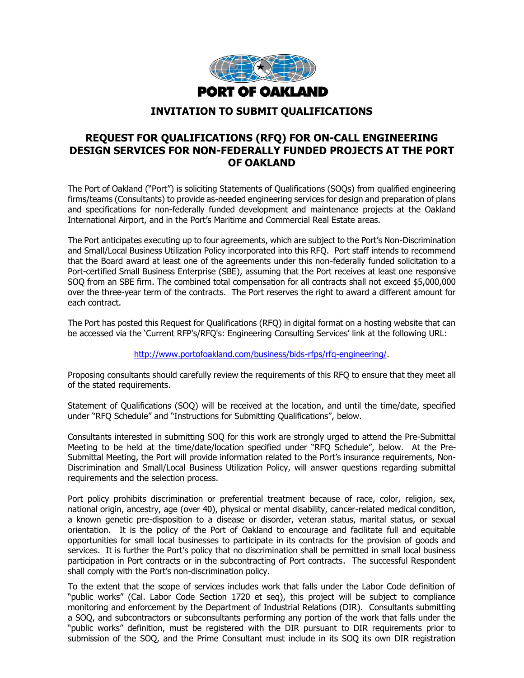

#### **INVITATION TO SUBMIT QUALIFICATIONS**

## **REQUEST FOR QUALIFICATIONS (RFQ) FOR ON-CALL ENGINEERING DESIGN SERVICES FOR NON-FEDERALLY FUNDED PROJECTS AT THE PORT OF OAKLAND**

The Port of Oakland ("Port") is soliciting Statements of Qualifications (SOQs) from qualified engineering firms/teams (Consultants) to provide as-needed engineering services for design and preparation of plans and specifications for non-federally funded development and maintenance projects at the Oakland International Airport, and in the Port's Maritime and Commercial Real Estate areas.

The Port anticipates executing up to four agreements, which are subject to the Port's Non-Discrimination and Small/Local Business Utilization Policy incorporated into this RFQ. Port staff intends to recommend that the Board award at least one of the agreements under this non-federally funded solicitation to a Port-certified Small Business Enterprise (SBE), assuming that the Port receives at least one responsive SOQ from an SBE firm. The combined total compensation for all contracts shall not exceed \$5,000,000 over the three-year term of the contracts. The Port reserves the right to award a different amount for each contract.

The Port has posted this Request for Qualifications (RFQ) in digital format on a hosting website that can be accessed via the 'Current RFP's/RFQ's: Engineering Consulting Services' link at the following URL:

[http://www.portofoakland.com/business/bids-rfps/rfq-engineering/.](http://www.portofoakland.com/business/bids-rfps/rfq-engineering/)

Proposing consultants should carefully review the requirements of this RFQ to ensure that they meet all of the stated requirements.

Statement of Qualifications (SOQ) will be received at the location, and until the time/date, specified under "RFQ Schedule" and "Instructions for Submitting Qualifications", below.

Consultants interested in submitting SOQ for this work are strongly urged to attend the Pre-Submittal Meeting to be held at the time/date/location specified under "RFQ Schedule", below. At the Pre-Submittal Meeting, the Port will provide information related to the Port's insurance requirements, Non-Discrimination and Small/Local Business Utilization Policy, will answer questions regarding submittal requirements and the selection process.

Port policy prohibits discrimination or preferential treatment because of race, color, religion, sex, national origin, ancestry, age (over 40), physical or mental disability, cancer-related medical condition, a known genetic pre-disposition to a disease or disorder, veteran status, marital status, or sexual orientation. It is the policy of the Port of Oakland to encourage and facilitate full and equitable opportunities for small local businesses to participate in its contracts for the provision of goods and services. It is further the Port's policy that no discrimination shall be permitted in small local business participation in Port contracts or in the subcontracting of Port contracts. The successful Respondent shall comply with the Port's non-discrimination policy.

To the extent that the scope of services includes work that falls under the Labor Code definition of "public works" (Cal. Labor Code Section 1720 et seq), this project will be subject to compliance monitoring and enforcement by the Department of Industrial Relations (DIR). Consultants submitting a SOQ, and subcontractors or subconsultants performing any portion of the work that falls under the "public works" definition, must be registered with the DIR pursuant to DIR requirements prior to submission of the SOQ, and the Prime Consultant must include in its SOQ its own DIR registration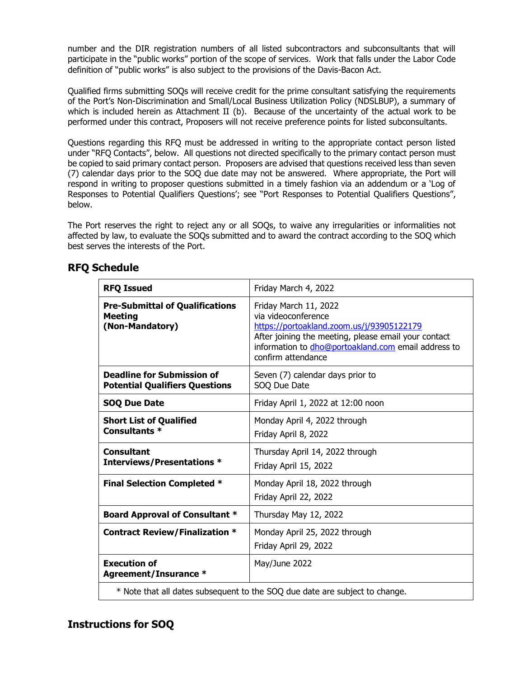number and the DIR registration numbers of all listed subcontractors and subconsultants that will participate in the "public works" portion of the scope of services. Work that falls under the Labor Code definition of "public works" is also subject to the provisions of the Davis-Bacon Act.

Qualified firms submitting SOQs will receive credit for the prime consultant satisfying the requirements of the Port's Non-Discrimination and Small/Local Business Utilization Policy (NDSLBUP), a summary of which is included herein as Attachment II (b). Because of the uncertainty of the actual work to be performed under this contract, Proposers will not receive preference points for listed subconsultants.

Questions regarding this RFQ must be addressed in writing to the appropriate contact person listed under "RFQ Contacts", below. All questions not directed specifically to the primary contact person must be copied to said primary contact person. Proposers are advised that questions received less than seven (7) calendar days prior to the SOQ due date may not be answered. Where appropriate, the Port will respond in writing to proposer questions submitted in a timely fashion via an addendum or a 'Log of Responses to Potential Qualifiers Questions'; see "Port Responses to Potential Qualifiers Questions", below.

The Port reserves the right to reject any or all SOQs, to waive any irregularities or informalities not affected by law, to evaluate the SOQs submitted and to award the contract according to the SOQ which best serves the interests of the Port.

| <b>RFQ Issued</b>                                                           | Friday March 4, 2022                                                                                                                                                                                                           |  |  |
|-----------------------------------------------------------------------------|--------------------------------------------------------------------------------------------------------------------------------------------------------------------------------------------------------------------------------|--|--|
| <b>Pre-Submittal of Qualifications</b><br><b>Meeting</b><br>(Non-Mandatory) | Friday March 11, 2022<br>via videoconference<br>https://portoakland.zoom.us/j/93905122179<br>After joining the meeting, please email your contact<br>information to dho@portoakland.com email address to<br>confirm attendance |  |  |
| <b>Deadline for Submission of</b><br><b>Potential Qualifiers Questions</b>  | Seven (7) calendar days prior to<br>SOQ Due Date                                                                                                                                                                               |  |  |
| <b>SOQ Due Date</b>                                                         | Friday April 1, 2022 at 12:00 noon                                                                                                                                                                                             |  |  |
| <b>Short List of Qualified</b><br>Consultants *                             | Monday April 4, 2022 through<br>Friday April 8, 2022                                                                                                                                                                           |  |  |
| <b>Consultant</b><br><b>Interviews/Presentations *</b>                      | Thursday April 14, 2022 through<br>Friday April 15, 2022                                                                                                                                                                       |  |  |
| <b>Final Selection Completed *</b>                                          | Monday April 18, 2022 through<br>Friday April 22, 2022                                                                                                                                                                         |  |  |
| <b>Board Approval of Consultant *</b>                                       | Thursday May 12, 2022                                                                                                                                                                                                          |  |  |
| <b>Contract Review/Finalization *</b>                                       | Monday April 25, 2022 through<br>Friday April 29, 2022                                                                                                                                                                         |  |  |
| <b>Execution of</b><br>Agreement/Insurance *                                | May/June 2022                                                                                                                                                                                                                  |  |  |
| * Note that all dates subsequent to the SOQ due date are subject to change. |                                                                                                                                                                                                                                |  |  |

## **RFQ Schedule**

## **Instructions for SOQ**